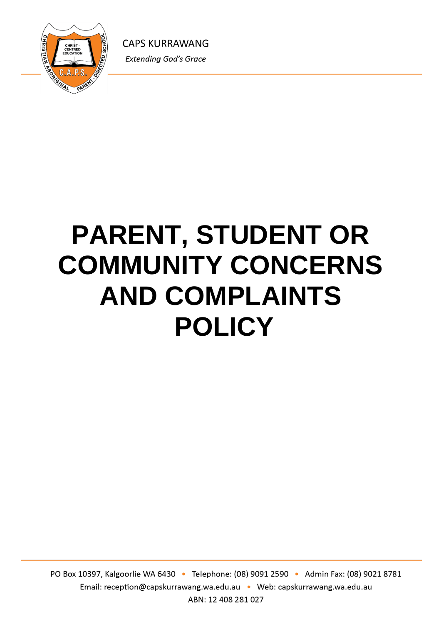

# **PARENT, STUDENT OR COMMUNITY CONCERNS AND COMPLAINTS POLICY**

PO Box 10397, Kalgoorlie WA 6430 · Telephone: (08) 9091 2590 · Admin Fax: (08) 9021 8781 Email: reception@capskurrawang.wa.edu.au • Web: capskurrawang.wa.edu.au ABN: 12 408 281 027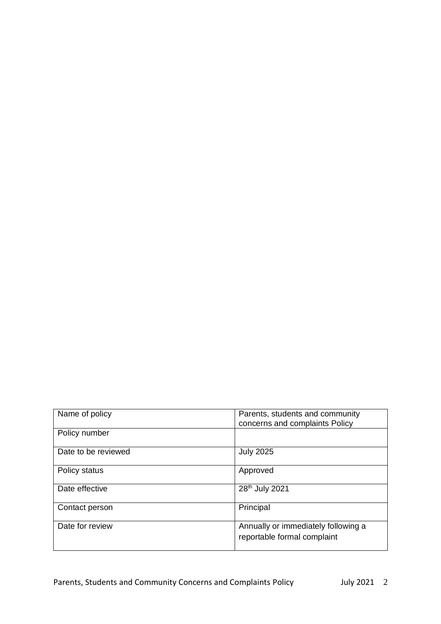| Name of policy      | Parents, students and community<br>concerns and complaints Policy  |
|---------------------|--------------------------------------------------------------------|
| Policy number       |                                                                    |
| Date to be reviewed | <b>July 2025</b>                                                   |
| Policy status       | Approved                                                           |
| Date effective      | 28 <sup>th</sup> July 2021                                         |
| Contact person      | Principal                                                          |
| Date for review     | Annually or immediately following a<br>reportable formal complaint |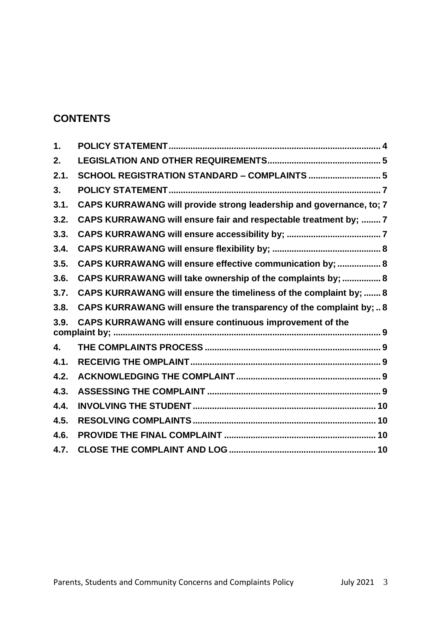## **CONTENTS**

| 1.   |                                                                     |  |
|------|---------------------------------------------------------------------|--|
| 2.   |                                                                     |  |
| 2.1. | SCHOOL REGISTRATION STANDARD - COMPLAINTS  5                        |  |
| 3.   |                                                                     |  |
| 3.1. | CAPS KURRAWANG will provide strong leadership and governance, to; 7 |  |
| 3.2. | CAPS KURRAWANG will ensure fair and respectable treatment by;  7    |  |
| 3.3. |                                                                     |  |
| 3.4. |                                                                     |  |
| 3.5. | CAPS KURRAWANG will ensure effective communication by;  8           |  |
| 3.6. | CAPS KURRAWANG will take ownership of the complaints by;  8         |  |
| 3.7. | CAPS KURRAWANG will ensure the timeliness of the complaint by;  8   |  |
| 3.8. | CAPS KURRAWANG will ensure the transparency of the complaint by;  8 |  |
| 3.9. | <b>CAPS KURRAWANG will ensure continuous improvement of the</b>     |  |
| 4.   |                                                                     |  |
| 4.1. |                                                                     |  |
| 4.2. |                                                                     |  |
| 4.3. |                                                                     |  |
| 4.4. |                                                                     |  |
| 4.5. |                                                                     |  |
| 4.6. |                                                                     |  |
| 4.7. |                                                                     |  |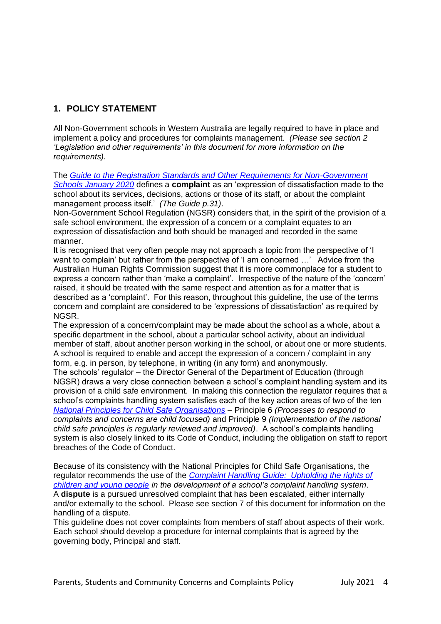## **1. POLICY STATEMENT**

All Non-Government schools in Western Australia are legally required to have in place and implement a policy and procedures for complaints management. *(Please see section 2 'Legislation and other requirements' in this document for more information on the requirements).*

The *[Guide to the Registration Standards and Other Requirements for Non-Government](https://www.education.wa.edu.au/standards)  [Schools January 2020](https://www.education.wa.edu.au/standards)* defines a **complaint** as an 'expression of dissatisfaction made to the school about its services, decisions, actions or those of its staff, or about the complaint management process itself.' *(The Guide p.31)*.

Non-Government School Regulation (NGSR) considers that, in the spirit of the provision of a safe school environment, the expression of a concern or a complaint equates to an expression of dissatisfaction and both should be managed and recorded in the same manner.

It is recognised that very often people may not approach a topic from the perspective of 'I want to complain' but rather from the perspective of 'I am concerned ...' Advice from the Australian Human Rights Commission suggest that it is more commonplace for a student to express a concern rather than 'make a complaint'. Irrespective of the nature of the 'concern' raised, it should be treated with the same respect and attention as for a matter that is described as a 'complaint'. For this reason, throughout this guideline, the use of the terms concern and complaint are considered to be 'expressions of dissatisfaction' as required by NGSR.

The expression of a concern/complaint may be made about the school as a whole, about a specific department in the school, about a particular school activity, about an individual member of staff, about another person working in the school, or about one or more students. A school is required to enable and accept the expression of a concern / complaint in any form, e.g. in person, by telephone, in writing (in any form) and anonymously.

The schools' regulator – the Director General of the Department of Education (through NGSR) draws a very close connection between a school's complaint handling system and its provision of a child safe environment. In making this connection the regulator requires that a school's complaints handling system satisfies each of the key action areas of two of the ten *National Principles for [Child Safe Organisations](https://pmc.gov.au/domestic-policy/national-office-child-safety/national-principles-child-safe-organisations)* – Principle 6 *(Processes to respond to complaints and concerns are child focused)* and Principle 9 *(Implementation of the national child safe principles is regularly reviewed and improved)*. A school's complaints handling system is also closely linked to its Code of Conduct, including the obligation on staff to report breaches of the Code of Conduct.

Because of its consistency with the National Principles for Child Safe Organisations, the regulator recommends the use of the *[Complaint Handling Guide: Upholding the rights of](https://www.pmc.gov.au/resource-centre/domestic-policy/complaint-handling-guide-upholding-rights-children-and-young-people)  [children and young people](https://www.pmc.gov.au/resource-centre/domestic-policy/complaint-handling-guide-upholding-rights-children-and-young-people) in the development of a school's complaint handling system*. A **dispute** is a pursued unresolved complaint that has been escalated, either internally and/or externally to the school. Please see section 7 of this document for information on the handling of a dispute.

This guideline does not cover complaints from members of staff about aspects of their work. Each school should develop a procedure for internal complaints that is agreed by the governing body, Principal and staff.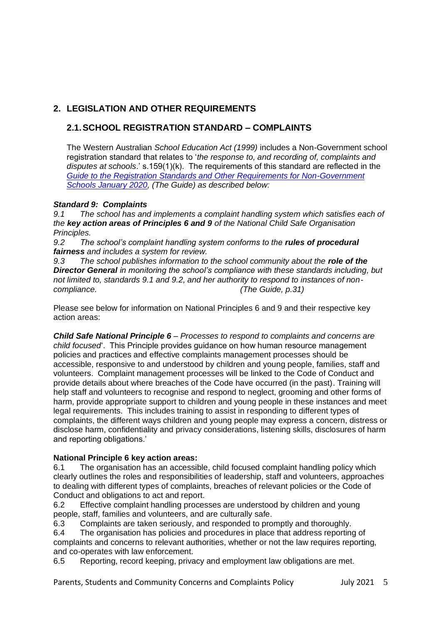## **2. LEGISLATION AND OTHER REQUIREMENTS**

## **2.1.SCHOOL REGISTRATION STANDARD – COMPLAINTS**

The Western Australian *School Education Act (1999)* includes a Non-Government school registration standard that relates to '*the response to, and recording of, complaints and disputes at schools*.' s.159(1)(k). The requirements of this standard are reflected in the *[Guide to the Registration Standards and Other Requirements for Non-Government](https://www.education.wa.edu.au/standards)  [Schools January 2020,](https://www.education.wa.edu.au/standards) (The Guide) as described below:*

#### *Standard 9: Complaints*

*9.1 The school has and implements a complaint handling system which satisfies each of the key action areas of Principles 6 and 9 of the National Child Safe Organisation Principles.*

9.2 The school's complaint handling system conforms to the **rules of procedural** *fairness and includes a system for review.*

*9.3 The school publishes information to the school community about the role of the Director General in monitoring the school's compliance with these standards including, but not limited to, standards 9.1 and 9.2, and her authority to respond to instances of noncompliance. (The Guide, p.31)*

Please see below for information on National Principles 6 and 9 and their respective key action areas:

*Child Safe National Principle 6* – *Processes to respond to complaints and concerns are child focused*'. This Principle provides guidance on how human resource management policies and practices and effective complaints management processes should be accessible, responsive to and understood by children and young people, families, staff and volunteers. Complaint management processes will be linked to the Code of Conduct and provide details about where breaches of the Code have occurred (in the past). Training will help staff and volunteers to recognise and respond to neglect, grooming and other forms of harm, provide appropriate support to children and young people in these instances and meet legal requirements. This includes training to assist in responding to different types of complaints, the different ways children and young people may express a concern, distress or disclose harm, confidentiality and privacy considerations, listening skills, disclosures of harm and reporting obligations.'

#### **National Principle 6 key action areas:**

6.1 The organisation has an accessible, child focused complaint handling policy which clearly outlines the roles and responsibilities of leadership, staff and volunteers, approaches to dealing with different types of complaints, breaches of relevant policies or the Code of Conduct and obligations to act and report.

6.2 Effective complaint handling processes are understood by children and young people, staff, families and volunteers, and are culturally safe.

6.3 Complaints are taken seriously, and responded to promptly and thoroughly.

6.4 The organisation has policies and procedures in place that address reporting of complaints and concerns to relevant authorities, whether or not the law requires reporting, and co-operates with law enforcement.

6.5 Reporting, record keeping, privacy and employment law obligations are met.

Parents, Students and Community Concerns and Complaints Policy July 2021 5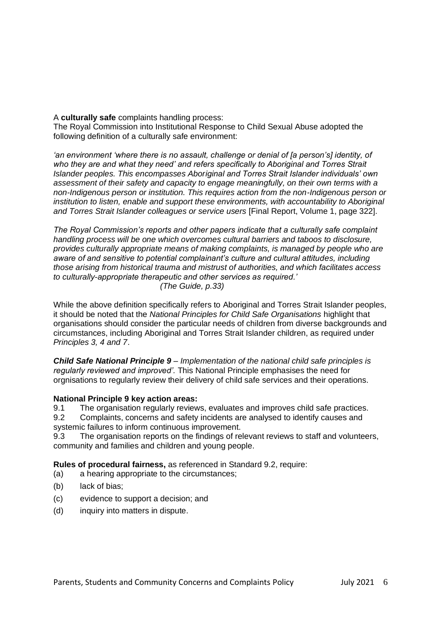#### A **culturally safe** complaints handling process:

The Royal Commission into Institutional Response to Child Sexual Abuse adopted the following definition of a culturally safe environment:

*'an environment 'where there is no assault, challenge or denial of [a person's] identity, of who they are and what they need' and refers specifically to Aboriginal and Torres Strait Islander peoples. This encompasses Aboriginal and Torres Strait Islander individuals' own assessment of their safety and capacity to engage meaningfully, on their own terms with a non-Indigenous person or institution. This requires action from the non-Indigenous person or institution to listen, enable and support these environments, with accountability to Aboriginal and Torres Strait Islander colleagues or service users* [Final Report, Volume 1, page 322].

*The Royal Commission's reports and other papers indicate that a culturally safe complaint handling process will be one which overcomes cultural barriers and taboos to disclosure, provides culturally appropriate means of making complaints, is managed by people who are aware of and sensitive to potential complainant's culture and cultural attitudes, including those arising from historical trauma and mistrust of authorities, and which facilitates access to culturally-appropriate therapeutic and other services as required.' (The Guide, p.33)*

While the above definition specifically refers to Aboriginal and Torres Strait Islander peoples, it should be noted that the *National Principles for Child Safe Organisations* highlight that organisations should consider the particular needs of children from diverse backgrounds and circumstances, including Aboriginal and Torres Strait Islander children, as required under *Principles 3, 4 and 7*.

*Child Safe National Principle 9* – *Implementation of the national child safe principles is regularly reviewed and improved'.* This National Principle emphasises the need for orgnisations to regularly review their delivery of child safe services and their operations.

#### **National Principle 9 key action areas:**

9.1 The organisation regularly reviews, evaluates and improves child safe practices.

9.2 Complaints, concerns and safety incidents are analysed to identify causes and systemic failures to inform continuous improvement.

9.3 The organisation reports on the findings of relevant reviews to staff and volunteers, community and families and children and young people.

**Rules of procedural fairness,** as referenced in Standard 9.2, require:

- (a) a hearing appropriate to the circumstances;
- (b) lack of bias;
- (c) evidence to support a decision; and
- (d) inquiry into matters in dispute.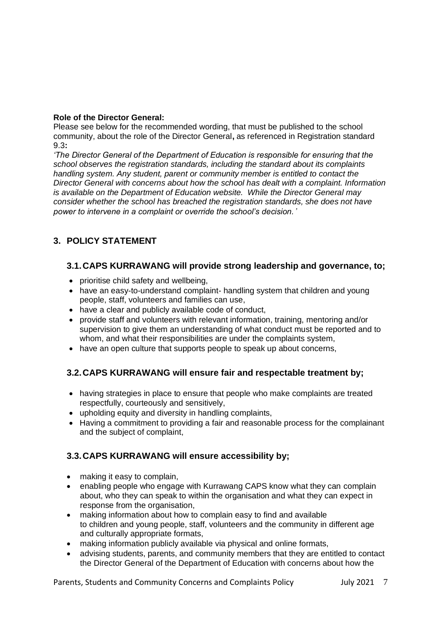#### **Role of the Director General:**

Please see below for the recommended wording, that must be published to the school community, about the role of the Director General**,** as referenced in Registration standard 9.3**:**

*'The Director General of the Department of Education is responsible for ensuring that the school observes the registration standards, including the standard about its complaints handling system. Any student, parent or community member is entitled to contact the Director General with concerns about how the school has dealt with a complaint. Information is available on the Department of Education website. While the Director General may consider whether the school has breached the registration standards, she does not have power to intervene in a complaint or override the school's decision.'* 

## **3. POLICY STATEMENT**

#### **3.1.CAPS KURRAWANG will provide strong leadership and governance, to;**

- prioritise child safety and wellbeing,
- have an easy-to-understand complaint- handling system that children and young people, staff, volunteers and families can use,
- have a clear and publicly available code of conduct,
- provide staff and volunteers with relevant information, training, mentoring and/or supervision to give them an understanding of what conduct must be reported and to whom, and what their responsibilities are under the complaints system,
- have an open culture that supports people to speak up about concerns,

## **3.2.CAPS KURRAWANG will ensure fair and respectable treatment by;**

- having strategies in place to ensure that people who make complaints are treated respectfully, courteously and sensitively,
- upholding equity and diversity in handling complaints,
- Having a commitment to providing a fair and reasonable process for the complainant and the subject of complaint,

## **3.3.CAPS KURRAWANG will ensure accessibility by;**

- making it easy to complain,
- enabling people who engage with Kurrawang CAPS know what they can complain about, who they can speak to within the organisation and what they can expect in response from the organisation,
- making information about how to complain easy to find and available to children and young people, staff, volunteers and the community in different age and culturally appropriate formats,
- making information publicly available via physical and online formats,
- advising students, parents, and community members that they are entitled to contact the Director General of the Department of Education with concerns about how the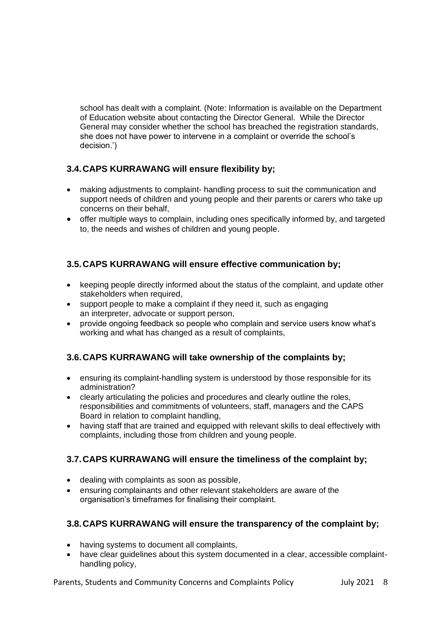school has dealt with a complaint. (Note: Information is available on the Department of Education website about contacting the Director General. While the Director General may consider whether the school has breached the registration standards, she does not have power to intervene in a complaint or override the school's decision.')

## **3.4.CAPS KURRAWANG will ensure flexibility by;**

- making adjustments to complaint- handling process to suit the communication and support needs of children and young people and their parents or carers who take up concerns on their behalf,
- offer multiple ways to complain, including ones specifically informed by, and targeted to, the needs and wishes of children and young people.

## **3.5.CAPS KURRAWANG will ensure effective communication by;**

- keeping people directly informed about the status of the complaint, and update other stakeholders when required,
- support people to make a complaint if they need it, such as engaging an interpreter, advocate or support person,
- provide ongoing feedback so people who complain and service users know what's working and what has changed as a result of complaints,

## **3.6.CAPS KURRAWANG will take ownership of the complaints by;**

- ensuring its complaint-handling system is understood by those responsible for its administration?
- clearly articulating the policies and procedures and clearly outline the roles, responsibilities and commitments of volunteers, staff, managers and the CAPS Board in relation to complaint handling,
- having staff that are trained and equipped with relevant skills to deal effectively with complaints, including those from children and young people.

## **3.7.CAPS KURRAWANG will ensure the timeliness of the complaint by;**

- dealing with complaints as soon as possible,
- ensuring complainants and other relevant stakeholders are aware of the organisation's timeframes for finalising their complaint.

## **3.8.CAPS KURRAWANG will ensure the transparency of the complaint by;**

- having systems to document all complaints,
- have clear guidelines about this system documented in a clear, accessible complainthandling policy,

Parents, Students and Community Concerns and Complaints Policy July 2021 8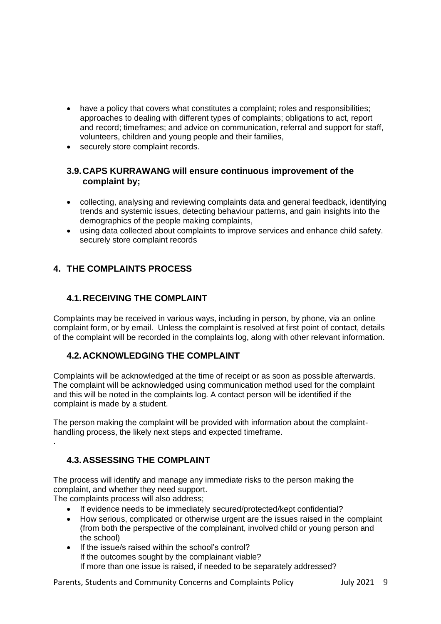- have a policy that covers what constitutes a complaint: roles and responsibilities; approaches to dealing with different types of complaints; obligations to act, report and record; timeframes; and advice on communication, referral and support for staff, volunteers, children and young people and their families,
- securely store complaint records.

#### **3.9.CAPS KURRAWANG will ensure continuous improvement of the complaint by;**

- collecting, analysing and reviewing complaints data and general feedback, identifying trends and systemic issues, detecting behaviour patterns, and gain insights into the demographics of the people making complaints,
- using data collected about complaints to improve services and enhance child safety. securely store complaint records

## **4. THE COMPLAINTS PROCESS**

## **4.1.RECEIVING THE COMPLAINT**

Complaints may be received in various ways, including in person, by phone, via an online complaint form, or by email. Unless the complaint is resolved at first point of contact, details of the complaint will be recorded in the complaints log, along with other relevant information.

## **4.2.ACKNOWLEDGING THE COMPLAINT**

Complaints will be acknowledged at the time of receipt or as soon as possible afterwards. The complaint will be acknowledged using communication method used for the complaint and this will be noted in the complaints log. A contact person will be identified if the complaint is made by a student.

The person making the complaint will be provided with information about the complainthandling process, the likely next steps and expected timeframe.

## **4.3.ASSESSING THE COMPLAINT**

The process will identify and manage any immediate risks to the person making the complaint, and whether they need support.

The complaints process will also address;

.

- If evidence needs to be immediately secured/protected/kept confidential?
- How serious, complicated or otherwise urgent are the issues raised in the complaint (from both the perspective of the complainant, involved child or young person and the school)
- If the issue/s raised within the school's control? If the outcomes sought by the complainant viable? If more than one issue is raised, if needed to be separately addressed?

Parents, Students and Community Concerns and Complaints Policy Figure 1. 1990 1. [16]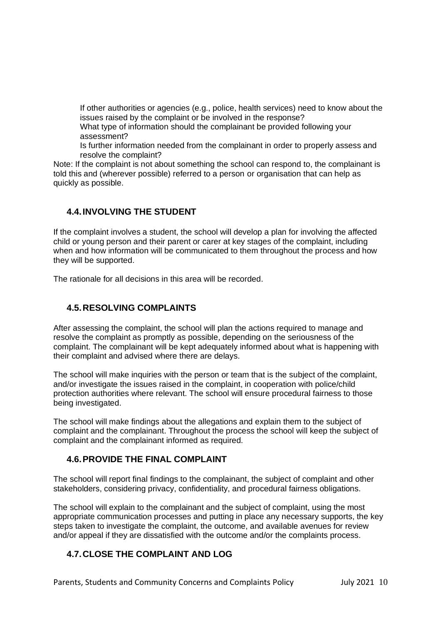If other authorities or agencies (e.g., police, health services) need to know about the issues raised by the complaint or be involved in the response?

What type of information should the complainant be provided following your assessment?

Is further information needed from the complainant in order to properly assess and resolve the complaint?

Note: If the complaint is not about something the school can respond to, the complainant is told this and (wherever possible) referred to a person or organisation that can help as quickly as possible.

#### **4.4.INVOLVING THE STUDENT**

If the complaint involves a student, the school will develop a plan for involving the affected child or young person and their parent or carer at key stages of the complaint, including when and how information will be communicated to them throughout the process and how they will be supported.

The rationale for all decisions in this area will be recorded.

#### **4.5.RESOLVING COMPLAINTS**

After assessing the complaint, the school will plan the actions required to manage and resolve the complaint as promptly as possible, depending on the seriousness of the complaint. The complainant will be kept adequately informed about what is happening with their complaint and advised where there are delays.

The school will make inquiries with the person or team that is the subject of the complaint, and/or investigate the issues raised in the complaint, in cooperation with police/child protection authorities where relevant. The school will ensure procedural fairness to those being investigated.

The school will make findings about the allegations and explain them to the subject of complaint and the complainant. Throughout the process the school will keep the subject of complaint and the complainant informed as required.

#### **4.6.PROVIDE THE FINAL COMPLAINT**

The school will report final findings to the complainant, the subject of complaint and other stakeholders, considering privacy, confidentiality, and procedural fairness obligations.

The school will explain to the complainant and the subject of complaint, using the most appropriate communication processes and putting in place any necessary supports, the key steps taken to investigate the complaint, the outcome, and available avenues for review and/or appeal if they are dissatisfied with the outcome and/or the complaints process.

## **4.7.CLOSE THE COMPLAINT AND LOG**